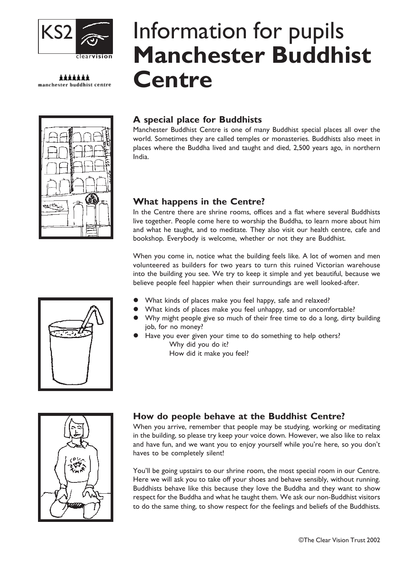

\*\*\*\*\*\*\* manchester buddhist centre



# Information for pupils Manchester Buddhist **Centre**

## A special place for Buddhists

Manchester Buddhist Centre is one of many Buddhist special places all over the world. Sometimes they are called temples or monasteries. Buddhists also meet in places where the Buddha lived and taught and died, 2,500 years ago, in northern India.

## What happens in the Centre?

In the Centre there are shrine rooms, offices and a flat where several Buddhists live together. People come here to worship the Buddha, to learn more about him and what he taught, and to meditate. They also visit our health centre, cafe and bookshop. Everybody is welcome, whether or not they are Buddhist.

When you come in, notice what the building feels like. A lot of women and men volunteered as builders for two years to turn this ruined Victorian warehouse into the building you see. We try to keep it simple and yet beautiful, because we believe people feel happier when their surroundings are well looked-after.

- What kinds of places make you feel happy, safe and relaxed?
- What kinds of places make you feel unhappy, sad or uncomfortable?
- Why might people give so much of their free time to do a long, dirty building job, for no money?
- Have you ever given your time to do something to help others? Why did you do it? How did it make you feel?

# How do people behave at the Buddhist Centre?

When you arrive, remember that people may be studying, working or meditating in the building, so please try keep your voice down. However, we also like to relax and have fun, and we want you to enjoy yourself while you're here, so you don't haves to be completely silent!

You'll be going upstairs to our shrine room, the most special room in our Centre. Here we will ask you to take off your shoes and behave sensibly, without running. Buddhists behave like this because they love the Buddha and they want to show respect for the Buddha and what he taught them. We ask our non-Buddhist visitors to do the same thing, to show respect for the feelings and beliefs of the Buddhists.